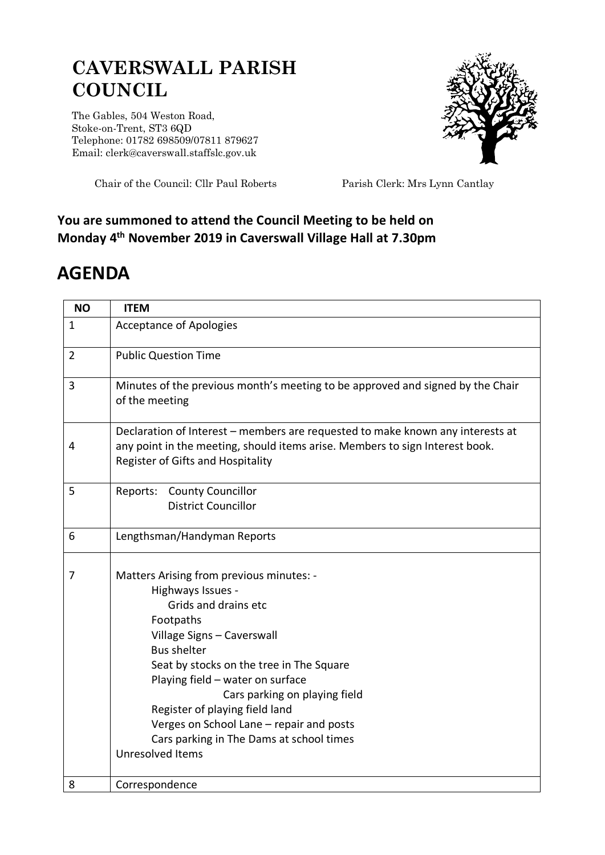## **CAVERSWALL PARISH COUNCIL**

The Gables, 504 Weston Road, Stoke-on-Trent, ST3 6QD Telephone: 01782 698509/07811 879627 Email: clerk@caverswall.staffslc.gov.uk



Chair of the Council: Cllr Paul Roberts Parish Clerk: Mrs Lynn Cantlay

## **You are summoned to attend the Council Meeting to be held on Monday 4 th November 2019 in Caverswall Village Hall at 7.30pm**

## **AGENDA**

| <b>NO</b>      | <b>ITEM</b>                                                                                                                                                                                                                                                                                                                                                                                                           |
|----------------|-----------------------------------------------------------------------------------------------------------------------------------------------------------------------------------------------------------------------------------------------------------------------------------------------------------------------------------------------------------------------------------------------------------------------|
| $\mathbf{1}$   | <b>Acceptance of Apologies</b>                                                                                                                                                                                                                                                                                                                                                                                        |
| $\overline{2}$ | <b>Public Question Time</b>                                                                                                                                                                                                                                                                                                                                                                                           |
| 3              | Minutes of the previous month's meeting to be approved and signed by the Chair<br>of the meeting                                                                                                                                                                                                                                                                                                                      |
| 4              | Declaration of Interest – members are requested to make known any interests at<br>any point in the meeting, should items arise. Members to sign Interest book.<br>Register of Gifts and Hospitality                                                                                                                                                                                                                   |
| 5              | Reports: County Councillor<br><b>District Councillor</b>                                                                                                                                                                                                                                                                                                                                                              |
| 6              | Lengthsman/Handyman Reports                                                                                                                                                                                                                                                                                                                                                                                           |
| 7              | Matters Arising from previous minutes: -<br>Highways Issues -<br>Grids and drains etc<br>Footpaths<br>Village Signs - Caverswall<br><b>Bus shelter</b><br>Seat by stocks on the tree in The Square<br>Playing field - water on surface<br>Cars parking on playing field<br>Register of playing field land<br>Verges on School Lane - repair and posts<br>Cars parking in The Dams at school times<br>Unresolved Items |
| 8              | Correspondence                                                                                                                                                                                                                                                                                                                                                                                                        |